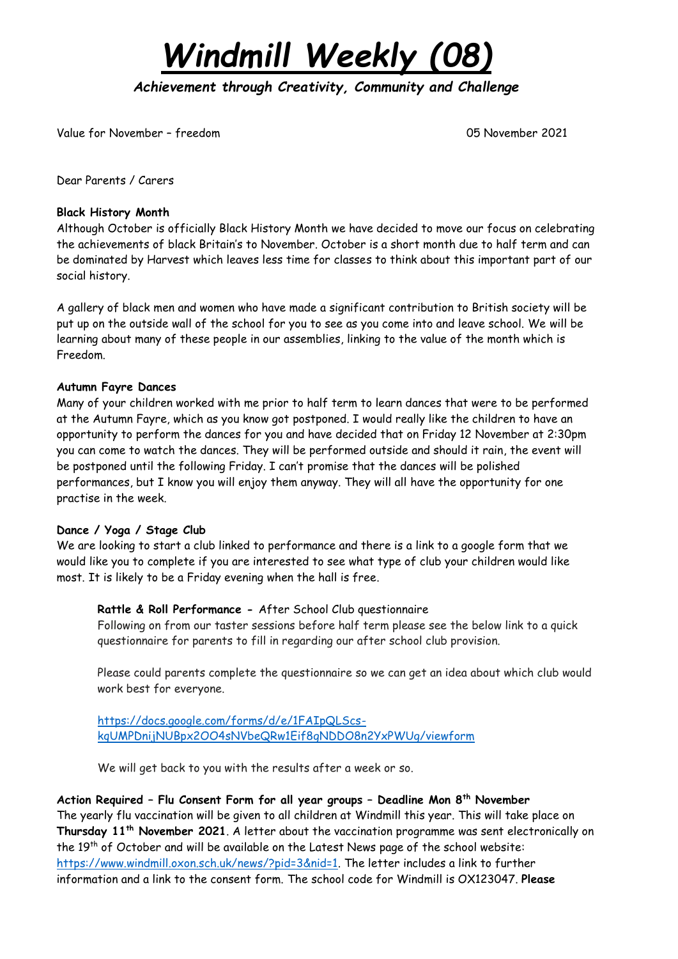*Windmill Weekly (08)*

*Achievement through Creativity, Community and Challenge* 

Value for November – freedom 05 November 2021

Dear Parents / Carers

## **Black History Month**

Although October is officially Black History Month we have decided to move our focus on celebrating the achievements of black Britain's to November. October is a short month due to half term and can be dominated by Harvest which leaves less time for classes to think about this important part of our social history.

A gallery of black men and women who have made a significant contribution to British society will be put up on the outside wall of the school for you to see as you come into and leave school. We will be learning about many of these people in our assemblies, linking to the value of the month which is Freedom.

## **Autumn Fayre Dances**

Many of your children worked with me prior to half term to learn dances that were to be performed at the Autumn Fayre, which as you know got postponed. I would really like the children to have an opportunity to perform the dances for you and have decided that on Friday 12 November at 2:30pm you can come to watch the dances. They will be performed outside and should it rain, the event will be postponed until the following Friday. I can't promise that the dances will be polished performances, but I know you will enjoy them anyway. They will all have the opportunity for one practise in the week.

## **Dance / Yoga / Stage Club**

We are looking to start a club linked to performance and there is a link to a google form that we would like you to complete if you are interested to see what type of club your children would like most. It is likely to be a Friday evening when the hall is free.

## **Rattle & Roll Performance -** After School Club questionnaire

Following on from our taster sessions before half term please see the below link to a quick questionnaire for parents to fill in regarding our after school club provision.

Please could parents complete the questionnaire so we can get an idea about which club would work best for everyone.

[https://docs.google.com/forms/d/e/1FAIpQLScs](https://docs.google.com/forms/d/e/1FAIpQLScs-kqUMPDnijNUBpx2OO4sNVbeQRw1Eif8gNDDO8n2YxPWUg/viewform)[kqUMPDnijNUBpx2OO4sNVbeQRw1Eif8gNDDO8n2YxPWUg/viewform](https://docs.google.com/forms/d/e/1FAIpQLScs-kqUMPDnijNUBpx2OO4sNVbeQRw1Eif8gNDDO8n2YxPWUg/viewform)

We will get back to you with the results after a week or so.

# **Action Required – Flu Consent Form for all year groups – Deadline Mon 8th November**

The yearly flu vaccination will be given to all children at Windmill this year. This will take place on **Thursday 11 th November 2021**. A letter about the vaccination programme was sent electronically on the 19<sup>th</sup> of October and will be available on the Latest News page of the school website: [https://www.windmill.oxon.sch.uk/news/?pid=3&nid=1.](https://www.windmill.oxon.sch.uk/news/?pid=3&nid=1) The letter includes a link to further information and a link to the consent form. The school code for Windmill is OX123047. **Please**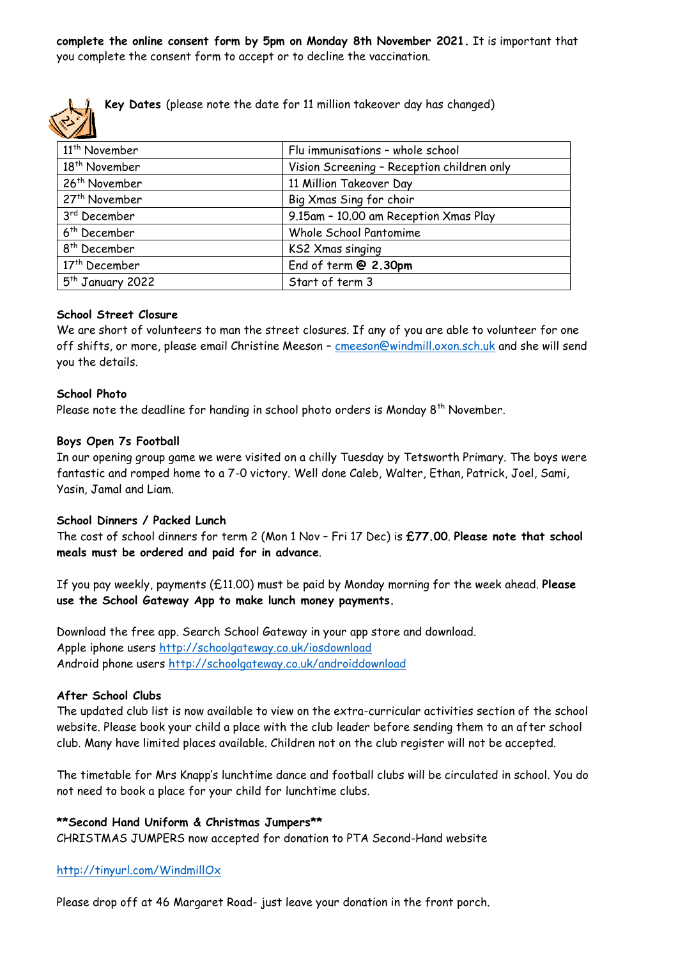**complete the online consent form by 5pm on Monday 8th November 2021.** It is important that you complete the consent form to accept or to decline the vaccination.



**Key Dates** (please note the date for 11 million takeover day has changed)

| 11 <sup>th</sup> November    | Flu immunisations - whole school           |
|------------------------------|--------------------------------------------|
| 18 <sup>th</sup> November    | Vision Screening - Reception children only |
| 26 <sup>th</sup> November    | 11 Million Takeover Day                    |
| 27 <sup>th</sup> November    | Big Xmas Sing for choir                    |
| 3 <sup>rd</sup> December     | 9.15am - 10.00 am Reception Xmas Play      |
| 6 <sup>th</sup> December     | Whole School Pantomime                     |
| 8 <sup>th</sup> December     | KS2 Xmas singing                           |
| 17 <sup>th</sup> December    | End of term @ 2.30pm                       |
| 5 <sup>th</sup> January 2022 | Start of term 3                            |

#### **School Street Closure**

We are short of volunteers to man the street closures. If any of you are able to volunteer for one off shifts, or more, please email Christine Meeson – [cmeeson@windmill.oxon.sch.uk](mailto:cmeeson@windmill.oxon.sch.uk) and she will send you the details.

#### **School Photo**

Please note the deadline for handing in school photo orders is Monday 8<sup>th</sup> November.

#### **Boys Open 7s Football**

In our opening group game we were visited on a chilly Tuesday by Tetsworth Primary. The boys were fantastic and romped home to a 7-0 victory. Well done Caleb, Walter, Ethan, Patrick, Joel, Sami, Yasin, Jamal and Liam.

#### **School Dinners / Packed Lunch**

The cost of school dinners for term 2 (Mon 1 Nov – Fri 17 Dec) is **£77.00**. **Please note that school meals must be ordered and paid for in advance**.

If you pay weekly, payments (£11.00) must be paid by Monday morning for the week ahead. **Please use the School Gateway App to make lunch money payments.**

Download the free app. Search School Gateway in your app store and download. Apple iphone users <http://schoolgateway.co.uk/iosdownload> Android phone users <http://schoolgateway.co.uk/androiddownload>

#### **After School Clubs**

The updated club list is now available to view on the extra-curricular activities section of the school website. Please book your child a place with the club leader before sending them to an after school club. Many have limited places available. Children not on the club register will not be accepted.

The timetable for Mrs Knapp's lunchtime dance and football clubs will be circulated in school. You do not need to book a place for your child for lunchtime clubs.

#### **\*\*Second Hand Uniform & Christmas Jumpers\*\***

CHRISTMAS JUMPERS now accepted for donation to PTA Second-Hand website

#### [http://tinyurl.com/WindmillOx](https://www.uniformd.co.uk/windmill-primary)

Please drop off at 46 Margaret Road- just leave your donation in the front porch.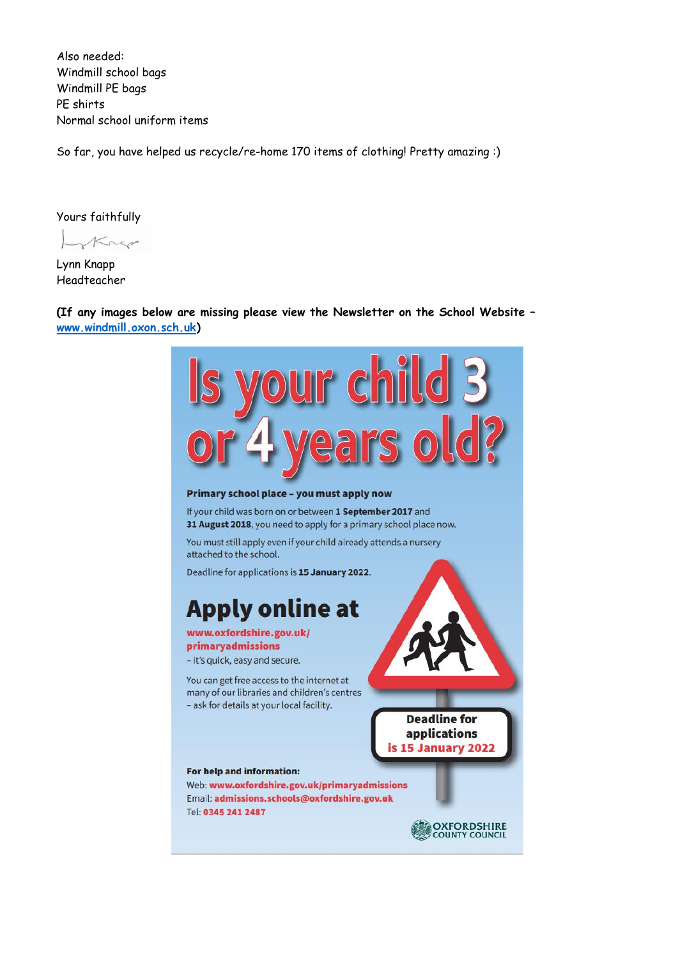Also needed: Windmill school bags Windmill PE bags PE shirts Normal school uniform items

So far, you have helped us recycle/re-home 170 items of clothing! Pretty amazing :)

Yours faithfully

Krep

Lynn Knapp Headteacher

**(If any images below are missing please view the Newsletter on the School Website – [www.windmill.oxon.sch.uk\)](http://www.windmill.oxon.sch.uk/)**

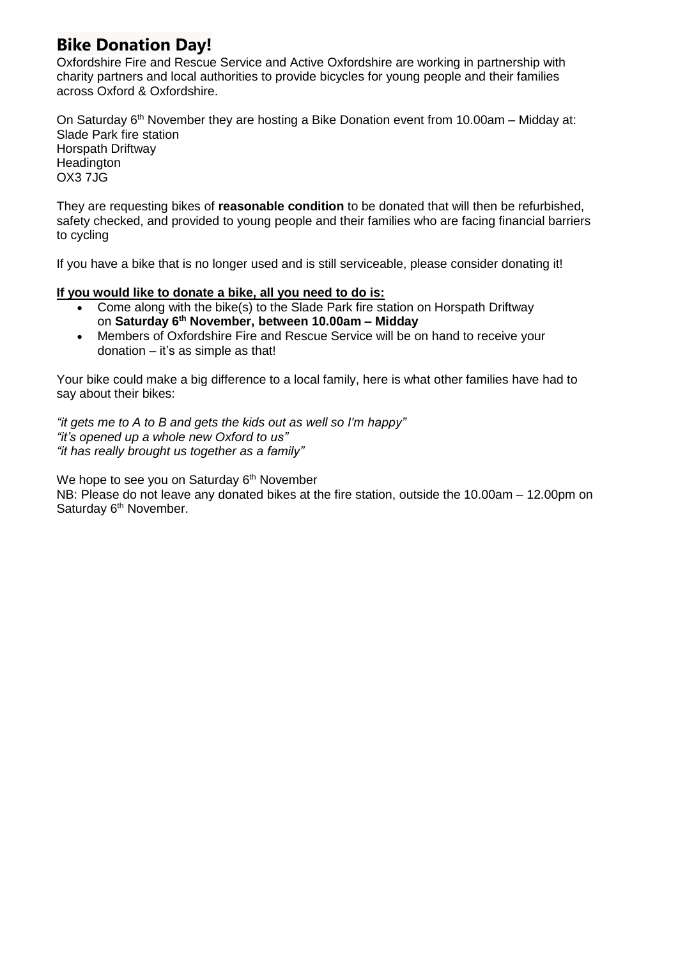# **Bike Donation Day!**

Oxfordshire Fire and Rescue Service and Active Oxfordshire are working in partnership with charity partners and local authorities to provide bicycles for young people and their families across Oxford & Oxfordshire.

On Saturday 6<sup>th</sup> November they are hosting a Bike Donation event from 10.00am - Midday at: Slade Park fire station Horspath Driftway **Headington** OX3 7JG

They are requesting bikes of **reasonable condition** to be donated that will then be refurbished, safety checked, and provided to young people and their families who are facing financial barriers to cycling

If you have a bike that is no longer used and is still serviceable, please consider donating it!

## **If you would like to donate a bike, all you need to do is:**

- Come along with the bike(s) to the Slade Park fire station on Horspath Driftway on **Saturday 6 th November, between 10.00am – Midday**
- Members of Oxfordshire Fire and Rescue Service will be on hand to receive your donation – it's as simple as that!

Your bike could make a big difference to a local family, here is what other families have had to say about their bikes:

*"it gets me to A to B and gets the kids out as well so I'm happy" "it's opened up a whole new Oxford to us" "it has really brought us together as a family"*

We hope to see you on Saturday 6<sup>th</sup> November

NB: Please do not leave any donated bikes at the fire station, outside the 10.00am – 12.00pm on Saturday 6<sup>th</sup> November.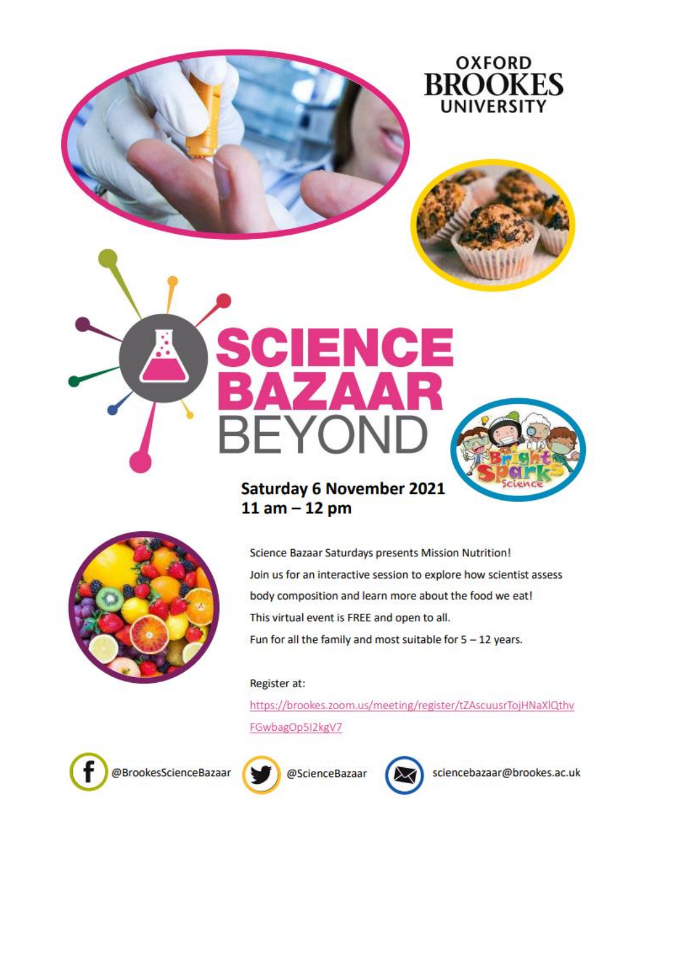



# **Saturday 6 November 2021**  $11$  am  $-12$  pm

YOI

ENCE



Science Bazaar Saturdays presents Mission Nutrition! Join us for an interactive session to explore how scientist assess body composition and learn more about the food we eat! This virtual event is FREE and open to all. Fun for all the family and most suitable for  $5 - 12$  years.

# Register at:

ВF

https://brookes.zoom.us/meeting/register/tZAscuusrTojHNaXlQthv FGwbagOp512kgV7







sciencebazaar@brookes.ac.uk